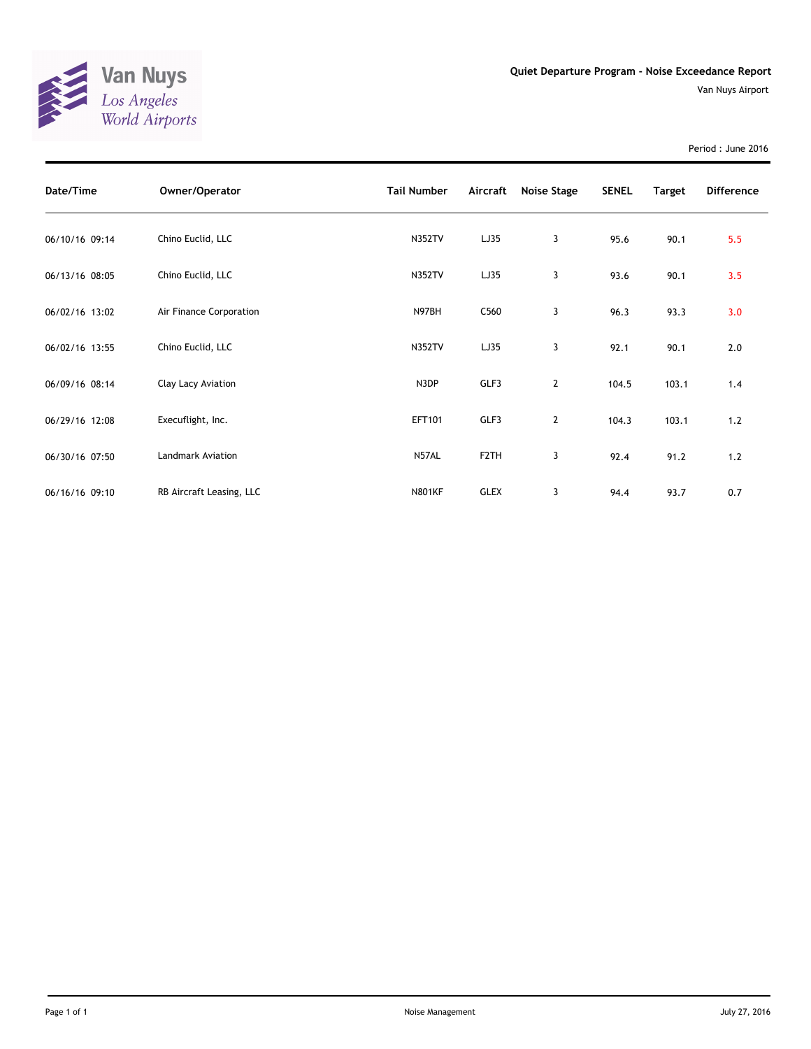

Period : June 2016

| Date/Time      | Owner/Operator           | <b>Tail Number</b> | Aircraft          | Noise Stage    | <b>SENEL</b> | <b>Target</b> | <b>Difference</b> |
|----------------|--------------------------|--------------------|-------------------|----------------|--------------|---------------|-------------------|
| 06/10/16 09:14 | Chino Euclid, LLC        | <b>N352TV</b>      | LJ35              | 3              | 95.6         | 90.1          | 5.5               |
| 06/13/16 08:05 | Chino Euclid, LLC        | <b>N352TV</b>      | LJ35              | 3              | 93.6         | 90.1          | 3.5               |
| 06/02/16 13:02 | Air Finance Corporation  | N97BH              | C <sub>560</sub>  | 3              | 96.3         | 93.3          | 3.0               |
| 06/02/16 13:55 | Chino Euclid, LLC        | <b>N352TV</b>      | LJ35              | 3              | 92.1         | 90.1          | 2.0               |
| 06/09/16 08:14 | Clay Lacy Aviation       | N3DP               | GLF3              | $\overline{2}$ | 104.5        | 103.1         | 1.4               |
| 06/29/16 12:08 | Execuflight, Inc.        | EFT101             | GLF3              | $\overline{2}$ | 104.3        | 103.1         | 1.2               |
| 06/30/16 07:50 | <b>Landmark Aviation</b> | N57AL              | F <sub>2</sub> TH | 3              | 92.4         | 91.2          | 1.2               |
| 06/16/16 09:10 | RB Aircraft Leasing, LLC | <b>N801KF</b>      | <b>GLEX</b>       | 3              | 94.4         | 93.7          | 0.7               |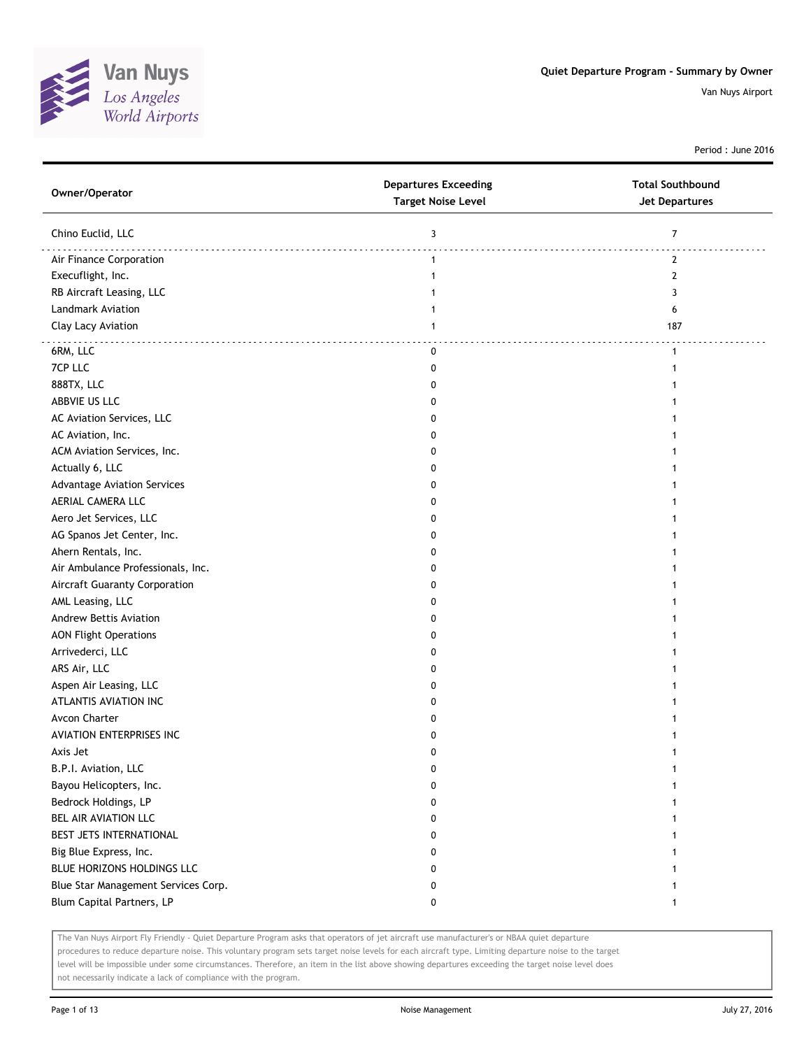

Period : June 2016

| Owner/Operator                      | <b>Departures Exceeding</b><br><b>Target Noise Level</b> | <b>Total Southbound</b><br><b>Jet Departures</b> |
|-------------------------------------|----------------------------------------------------------|--------------------------------------------------|
| Chino Euclid, LLC                   | 3                                                        | $\overline{7}$                                   |
| Air Finance Corporation             | $\mathbf{1}$                                             | 2                                                |
| Execuflight, Inc.                   | 1                                                        | $\mathbf{2}$                                     |
| RB Aircraft Leasing, LLC            |                                                          | 3                                                |
| Landmark Aviation                   |                                                          | 6                                                |
| Clay Lacy Aviation                  | 1                                                        | 187                                              |
| 6RM, LLC                            | 0                                                        | $\mathbf{1}$                                     |
| 7CP LLC                             | 0                                                        | $\mathbf{1}$                                     |
| 888TX, LLC                          | 0                                                        | $\mathbf{1}$                                     |
| ABBVIE US LLC                       | 0                                                        | 1                                                |
| AC Aviation Services, LLC           | 0                                                        |                                                  |
| AC Aviation, Inc.                   | 0                                                        |                                                  |
| ACM Aviation Services, Inc.         | 0                                                        |                                                  |
| Actually 6, LLC                     | 0                                                        |                                                  |
| <b>Advantage Aviation Services</b>  | 0                                                        | 1                                                |
| AERIAL CAMERA LLC                   | 0                                                        | 1                                                |
| Aero Jet Services, LLC              | 0                                                        | 1                                                |
| AG Spanos Jet Center, Inc.          | 0                                                        |                                                  |
| Ahern Rentals, Inc.                 | 0                                                        |                                                  |
| Air Ambulance Professionals, Inc.   | 0                                                        |                                                  |
| Aircraft Guaranty Corporation       | 0                                                        |                                                  |
| AML Leasing, LLC                    | 0                                                        |                                                  |
| Andrew Bettis Aviation              | 0                                                        |                                                  |
| <b>AON Flight Operations</b>        | 0                                                        |                                                  |
| Arrivederci, LLC                    | 0                                                        | 1                                                |
| ARS Air, LLC                        | 0                                                        | 1                                                |
| Aspen Air Leasing, LLC              | 0                                                        | 1                                                |
| ATLANTIS AVIATION INC               | 0                                                        | 1                                                |
| Avcon Charter                       | 0                                                        |                                                  |
| AVIATION ENTERPRISES INC            | 0                                                        | 1                                                |
| Axis Jet                            | 0                                                        | 1                                                |
| B.P.I. Aviation, LLC                | 0                                                        |                                                  |
| Bayou Helicopters, Inc.             | 0                                                        |                                                  |
| Bedrock Holdings, LP                | 0                                                        | 1                                                |
| BEL AIR AVIATION LLC                | 0                                                        | 1                                                |
| BEST JETS INTERNATIONAL             | 0                                                        | 1                                                |
| Big Blue Express, Inc.              | 0                                                        | 1                                                |
| BLUE HORIZONS HOLDINGS LLC          | 0                                                        | $\mathbf{1}$                                     |
| Blue Star Management Services Corp. | 0                                                        | $\mathbf{1}$                                     |
| Blum Capital Partners, LP           | 0                                                        | $\mathbf{1}$                                     |
|                                     |                                                          |                                                  |

The Van Nuys Airport Fly Friendly - Quiet Departure Program asks that operators of jet aircraft use manufacturer's or NBAA quiet departure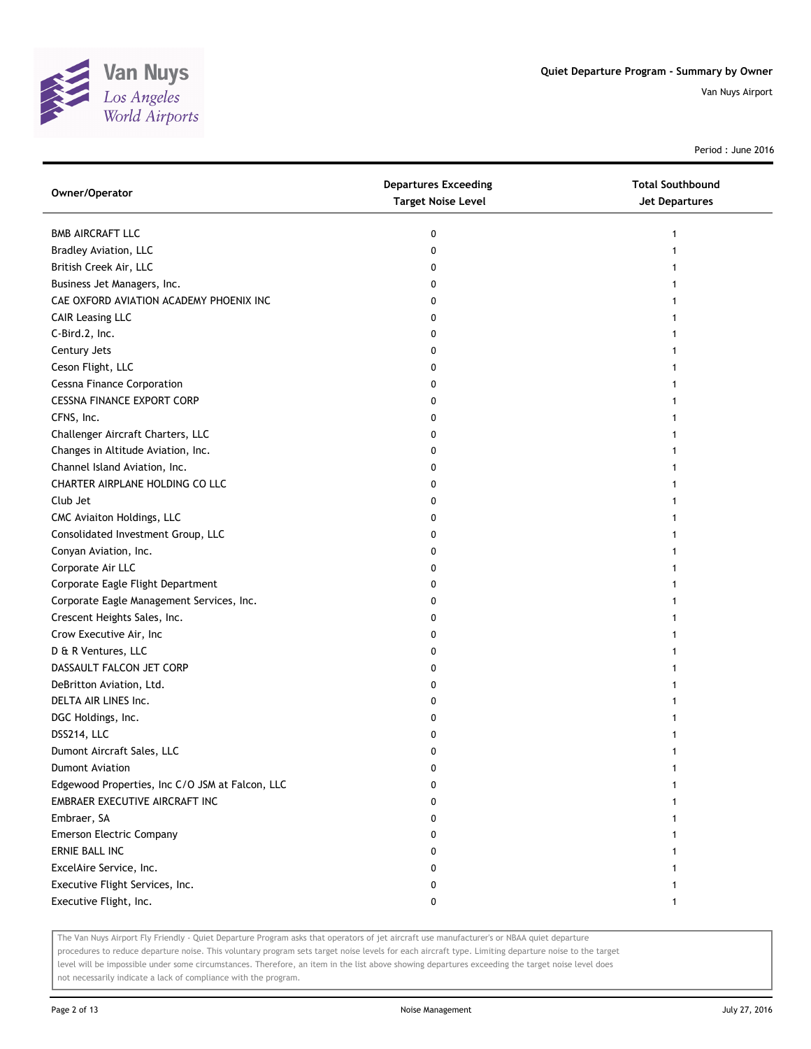

Period : June 2016

| Owner/Operator                                  | <b>Departures Exceeding</b><br><b>Target Noise Level</b> | <b>Total Southbound</b><br><b>Jet Departures</b> |
|-------------------------------------------------|----------------------------------------------------------|--------------------------------------------------|
| <b>BMB AIRCRAFT LLC</b>                         | 0                                                        | 1                                                |
| Bradley Aviation, LLC                           | 0                                                        |                                                  |
| British Creek Air, LLC                          | 0                                                        |                                                  |
| Business Jet Managers, Inc.                     | 0                                                        |                                                  |
| CAE OXFORD AVIATION ACADEMY PHOENIX INC         | 0                                                        |                                                  |
| <b>CAIR Leasing LLC</b>                         | 0                                                        |                                                  |
| C-Bird.2, Inc.                                  | 0                                                        |                                                  |
| Century Jets                                    | 0                                                        |                                                  |
| Ceson Flight, LLC                               | 0                                                        |                                                  |
| <b>Cessna Finance Corporation</b>               | 0                                                        |                                                  |
| <b>CESSNA FINANCE EXPORT CORP</b>               | 0                                                        |                                                  |
| CFNS, Inc.                                      | 0                                                        |                                                  |
| Challenger Aircraft Charters, LLC               | 0                                                        |                                                  |
| Changes in Altitude Aviation, Inc.              | 0                                                        |                                                  |
| Channel Island Aviation, Inc.                   | 0                                                        |                                                  |
| CHARTER AIRPLANE HOLDING CO LLC                 | 0                                                        |                                                  |
| Club Jet                                        | 0                                                        |                                                  |
| CMC Aviaiton Holdings, LLC                      | 0                                                        |                                                  |
| Consolidated Investment Group, LLC              | 0                                                        |                                                  |
| Conyan Aviation, Inc.                           | 0                                                        |                                                  |
| Corporate Air LLC                               | 0                                                        |                                                  |
| Corporate Eagle Flight Department               | 0                                                        |                                                  |
| Corporate Eagle Management Services, Inc.       | 0                                                        |                                                  |
| Crescent Heights Sales, Inc.                    | 0                                                        |                                                  |
| Crow Executive Air, Inc                         | 0                                                        |                                                  |
| D & R Ventures, LLC                             | 0                                                        |                                                  |
| DASSAULT FALCON JET CORP                        | 0                                                        |                                                  |
| DeBritton Aviation, Ltd.                        | 0                                                        |                                                  |
| DELTA AIR LINES Inc.                            | 0                                                        |                                                  |
| DGC Holdings, Inc.                              | 0                                                        |                                                  |
| DSS214, LLC                                     | 0                                                        |                                                  |
| Dumont Aircraft Sales, LLC                      | 0                                                        |                                                  |
| <b>Dumont Aviation</b>                          | 0                                                        |                                                  |
| Edgewood Properties, Inc C/O JSM at Falcon, LLC | 0                                                        |                                                  |
| EMBRAER EXECUTIVE AIRCRAFT INC                  | 0                                                        |                                                  |
| Embraer, SA                                     | 0                                                        |                                                  |
| <b>Emerson Electric Company</b>                 | 0                                                        |                                                  |
| ERNIE BALL INC                                  | 0                                                        |                                                  |
| ExcelAire Service, Inc.                         | 0                                                        |                                                  |
| Executive Flight Services, Inc.                 | 0                                                        |                                                  |
| Executive Flight, Inc.                          | 0                                                        |                                                  |

The Van Nuys Airport Fly Friendly - Quiet Departure Program asks that operators of jet aircraft use manufacturer's or NBAA quiet departure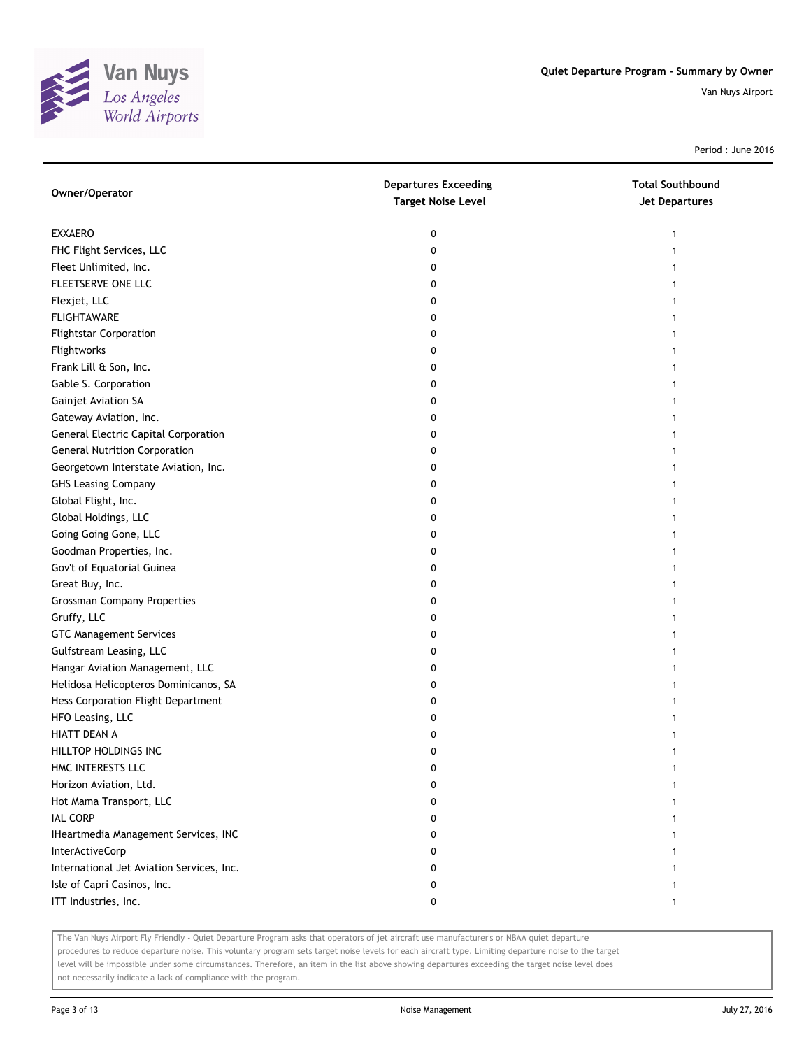

Period : June 2016

| Owner/Operator                              | <b>Departures Exceeding</b><br><b>Target Noise Level</b> | <b>Total Southbound</b><br><b>Jet Departures</b> |
|---------------------------------------------|----------------------------------------------------------|--------------------------------------------------|
| <b>EXXAERO</b>                              | 0                                                        | 1                                                |
| FHC Flight Services, LLC                    | 0                                                        |                                                  |
| Fleet Unlimited, Inc.                       | 0                                                        |                                                  |
| FLEETSERVE ONE LLC                          | 0                                                        |                                                  |
| Flexjet, LLC                                | 0                                                        |                                                  |
| <b>FLIGHTAWARE</b>                          | 0                                                        |                                                  |
| <b>Flightstar Corporation</b>               | 0                                                        |                                                  |
| Flightworks                                 | 0                                                        |                                                  |
| Frank Lill & Son, Inc.                      | 0                                                        |                                                  |
| Gable S. Corporation                        | 0                                                        |                                                  |
| Gainjet Aviation SA                         | 0                                                        |                                                  |
| Gateway Aviation, Inc.                      | 0                                                        |                                                  |
| <b>General Electric Capital Corporation</b> | 0                                                        |                                                  |
| <b>General Nutrition Corporation</b>        | 0                                                        |                                                  |
| Georgetown Interstate Aviation, Inc.        | 0                                                        |                                                  |
| <b>GHS Leasing Company</b>                  | 0                                                        |                                                  |
| Global Flight, Inc.                         | 0                                                        | 1                                                |
| Global Holdings, LLC                        | 0                                                        |                                                  |
| Going Going Gone, LLC                       | 0                                                        |                                                  |
| Goodman Properties, Inc.                    | 0                                                        |                                                  |
| Gov't of Equatorial Guinea                  | 0                                                        |                                                  |
| Great Buy, Inc.                             | 0                                                        |                                                  |
| <b>Grossman Company Properties</b>          | 0                                                        |                                                  |
| Gruffy, LLC                                 | 0                                                        |                                                  |
| <b>GTC Management Services</b>              | 0                                                        |                                                  |
| Gulfstream Leasing, LLC                     | 0                                                        |                                                  |
| Hangar Aviation Management, LLC             | 0                                                        |                                                  |
| Helidosa Helicopteros Dominicanos, SA       | 0                                                        |                                                  |
| Hess Corporation Flight Department          | 0                                                        |                                                  |
| HFO Leasing, LLC                            | 0                                                        |                                                  |
| HIATT DEAN A                                | 0                                                        |                                                  |
| HILLTOP HOLDINGS INC                        | 0                                                        |                                                  |
| HMC INTERESTS LLC                           | 0                                                        |                                                  |
| Horizon Aviation, Ltd.                      | 0                                                        |                                                  |
| Hot Mama Transport, LLC                     | 0                                                        |                                                  |
| <b>IAL CORP</b>                             | 0                                                        |                                                  |
| IHeartmedia Management Services, INC        | 0                                                        |                                                  |
| <b>InterActiveCorp</b>                      | 0                                                        |                                                  |
| International Jet Aviation Services, Inc.   | 0                                                        |                                                  |
| Isle of Capri Casinos, Inc.                 | 0                                                        |                                                  |
| ITT Industries, Inc.                        | 0                                                        |                                                  |

The Van Nuys Airport Fly Friendly - Quiet Departure Program asks that operators of jet aircraft use manufacturer's or NBAA quiet departure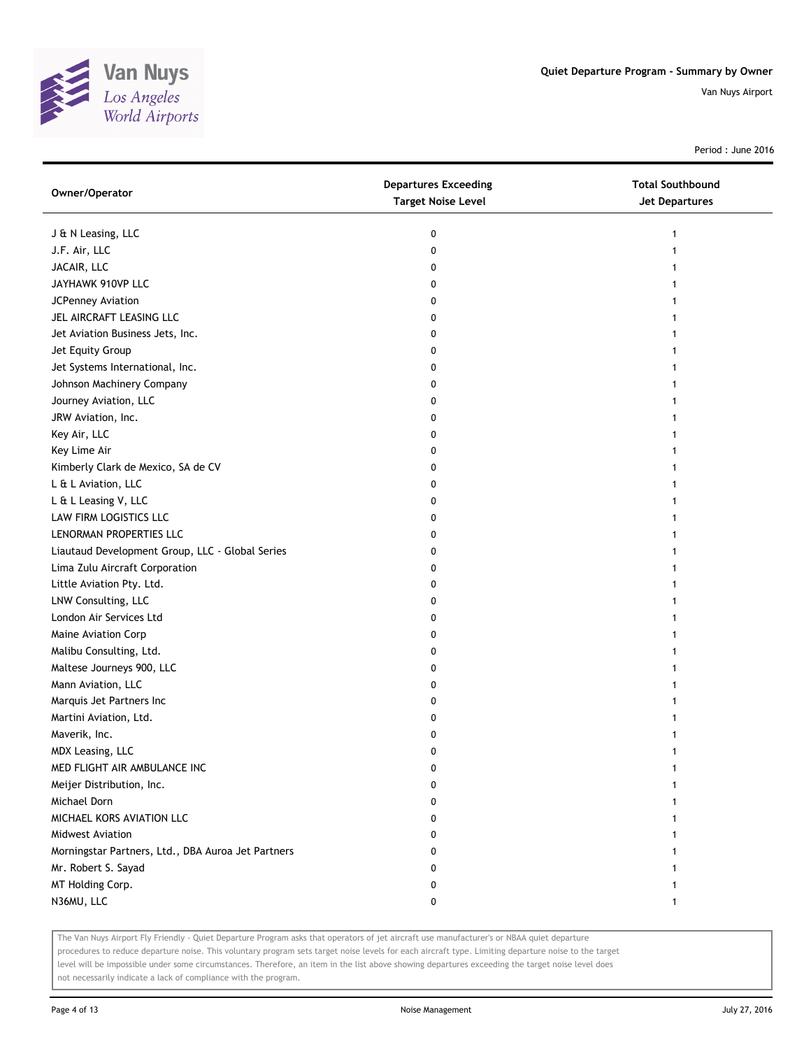

Period : June 2016

| Owner/Operator                                     | <b>Departures Exceeding</b><br><b>Target Noise Level</b> | <b>Total Southbound</b><br>Jet Departures |
|----------------------------------------------------|----------------------------------------------------------|-------------------------------------------|
| J & N Leasing, LLC                                 | 0                                                        | 1                                         |
| J.F. Air, LLC                                      | 0                                                        |                                           |
| JACAIR, LLC                                        | 0                                                        |                                           |
| JAYHAWK 910VP LLC                                  | 0                                                        |                                           |
| JCPenney Aviation                                  | 0                                                        |                                           |
| JEL AIRCRAFT LEASING LLC                           | 0                                                        |                                           |
| Jet Aviation Business Jets, Inc.                   | 0                                                        | 1                                         |
| Jet Equity Group                                   | 0                                                        |                                           |
| Jet Systems International, Inc.                    | 0                                                        |                                           |
| Johnson Machinery Company                          | 0                                                        |                                           |
| Journey Aviation, LLC                              | 0                                                        |                                           |
| JRW Aviation, Inc.                                 | 0                                                        |                                           |
| Key Air, LLC                                       | 0                                                        |                                           |
| Key Lime Air                                       | 0                                                        |                                           |
| Kimberly Clark de Mexico, SA de CV                 | 0                                                        |                                           |
| L & L Aviation, LLC                                | 0                                                        |                                           |
| L & L Leasing V, LLC                               | 0                                                        | 1                                         |
| LAW FIRM LOGISTICS LLC                             | 0                                                        |                                           |
| LENORMAN PROPERTIES LLC                            | 0                                                        |                                           |
| Liautaud Development Group, LLC - Global Series    | 0                                                        |                                           |
| Lima Zulu Aircraft Corporation                     | 0                                                        |                                           |
| Little Aviation Pty. Ltd.                          | 0                                                        |                                           |
| LNW Consulting, LLC                                | 0                                                        |                                           |
| London Air Services Ltd                            | 0                                                        |                                           |
| Maine Aviation Corp                                | 0                                                        |                                           |
| Malibu Consulting, Ltd.                            | 0                                                        |                                           |
| Maltese Journeys 900, LLC                          | 0                                                        |                                           |
| Mann Aviation, LLC                                 | 0                                                        |                                           |
| Marquis Jet Partners Inc                           | 0                                                        |                                           |
| Martini Aviation, Ltd.                             | 0                                                        |                                           |
| Maverik, Inc.                                      | 0                                                        |                                           |
| MDX Leasing, LLC                                   | 0                                                        |                                           |
| MED FLIGHT AIR AMBULANCE INC                       | 0                                                        |                                           |
| Meijer Distribution, Inc.                          | 0                                                        |                                           |
| Michael Dorn                                       | 0                                                        |                                           |
| MICHAEL KORS AVIATION LLC                          | 0                                                        |                                           |
| Midwest Aviation                                   | 0                                                        |                                           |
| Morningstar Partners, Ltd., DBA Auroa Jet Partners | 0                                                        |                                           |
| Mr. Robert S. Sayad                                | 0                                                        |                                           |
| MT Holding Corp.                                   | 0                                                        |                                           |
| N36MU, LLC                                         | 0                                                        | $\mathbf{1}$                              |

The Van Nuys Airport Fly Friendly - Quiet Departure Program asks that operators of jet aircraft use manufacturer's or NBAA quiet departure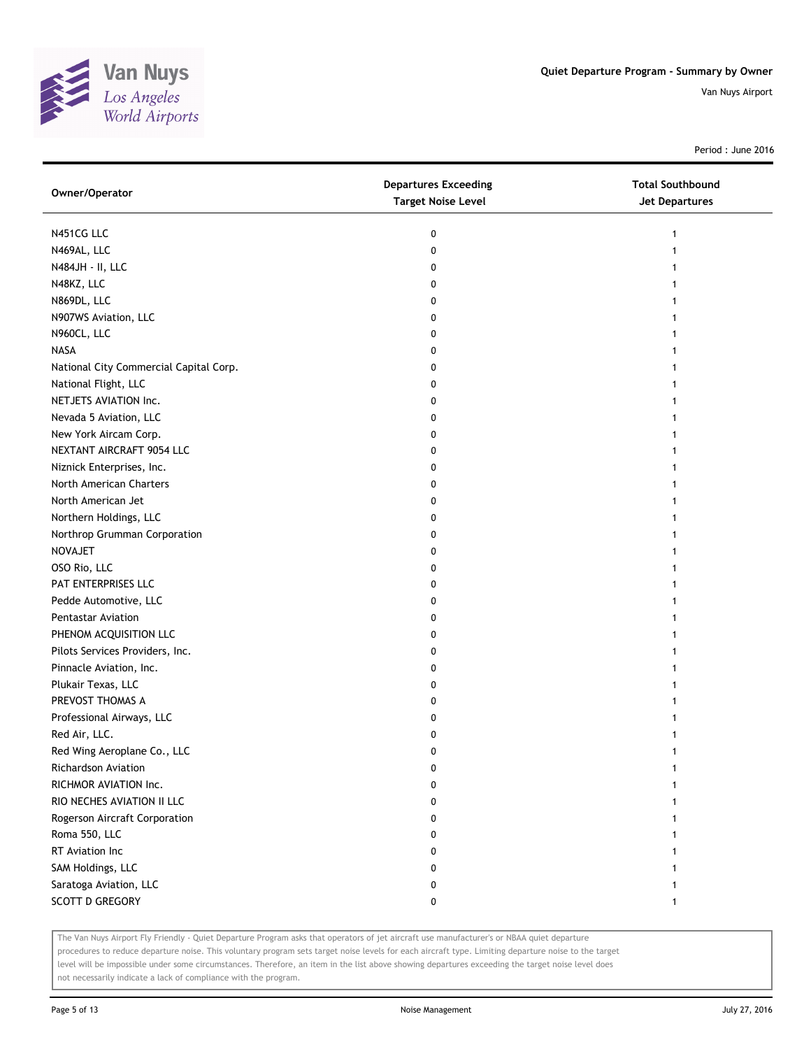

Period : June 2016

| Owner/Operator                         | <b>Departures Exceeding</b><br><b>Target Noise Level</b> | <b>Total Southbound</b><br><b>Jet Departures</b> |
|----------------------------------------|----------------------------------------------------------|--------------------------------------------------|
| N451CG LLC                             | 0                                                        | 1                                                |
| N469AL, LLC                            | 0                                                        |                                                  |
| N484JH - II, LLC                       | 0                                                        |                                                  |
| N48KZ, LLC                             | 0                                                        |                                                  |
| N869DL, LLC                            | 0                                                        |                                                  |
| N907WS Aviation, LLC                   | 0                                                        |                                                  |
| N960CL, LLC                            | 0                                                        |                                                  |
| <b>NASA</b>                            | 0                                                        |                                                  |
| National City Commercial Capital Corp. | 0                                                        |                                                  |
| National Flight, LLC                   | 0                                                        |                                                  |
| NETJETS AVIATION Inc.                  | 0                                                        |                                                  |
| Nevada 5 Aviation, LLC                 | 0                                                        |                                                  |
| New York Aircam Corp.                  | 0                                                        |                                                  |
| NEXTANT AIRCRAFT 9054 LLC              | 0                                                        |                                                  |
| Niznick Enterprises, Inc.              | 0                                                        | 1                                                |
| North American Charters                | 0                                                        |                                                  |
| North American Jet                     | 0                                                        |                                                  |
| Northern Holdings, LLC                 | 0                                                        |                                                  |
| Northrop Grumman Corporation           | 0                                                        |                                                  |
| NOVAJET                                | 0                                                        |                                                  |
| OSO Rio, LLC                           | 0                                                        |                                                  |
| PAT ENTERPRISES LLC                    | 0                                                        |                                                  |
| Pedde Automotive, LLC                  | 0                                                        |                                                  |
| Pentastar Aviation                     | 0                                                        |                                                  |
| PHENOM ACQUISITION LLC                 | 0                                                        | 1                                                |
| Pilots Services Providers, Inc.        | 0                                                        | 1                                                |
| Pinnacle Aviation, Inc.                | 0                                                        |                                                  |
| Plukair Texas, LLC                     | 0                                                        |                                                  |
| PREVOST THOMAS A                       | 0                                                        |                                                  |
| Professional Airways, LLC              | 0                                                        |                                                  |
| Red Air, LLC.                          | 0                                                        |                                                  |
| Red Wing Aeroplane Co., LLC            | 0                                                        | 1                                                |
| Richardson Aviation                    | 0                                                        |                                                  |
| RICHMOR AVIATION Inc.                  | 0                                                        |                                                  |
| RIO NECHES AVIATION II LLC             | 0                                                        |                                                  |
| Rogerson Aircraft Corporation          | 0                                                        |                                                  |
| Roma 550, LLC                          | 0                                                        |                                                  |
| RT Aviation Inc                        | 0                                                        |                                                  |
| SAM Holdings, LLC                      | 0                                                        |                                                  |
| Saratoga Aviation, LLC                 | 0                                                        |                                                  |
| <b>SCOTT D GREGORY</b>                 | 0                                                        | 1                                                |

The Van Nuys Airport Fly Friendly - Quiet Departure Program asks that operators of jet aircraft use manufacturer's or NBAA quiet departure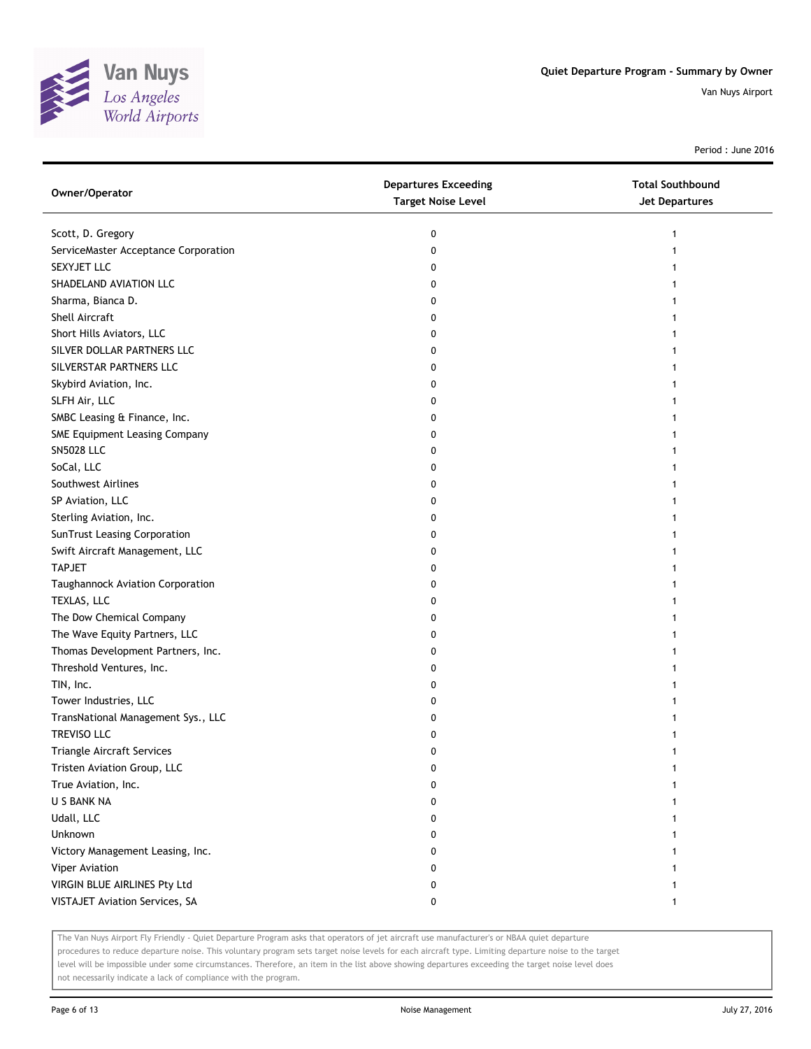

Period : June 2016

| Owner/Operator                       | <b>Departures Exceeding</b><br><b>Target Noise Level</b> | <b>Total Southbound</b><br><b>Jet Departures</b> |
|--------------------------------------|----------------------------------------------------------|--------------------------------------------------|
| Scott, D. Gregory                    | 0                                                        | 1                                                |
| ServiceMaster Acceptance Corporation | 0                                                        |                                                  |
| SEXYJET LLC                          | 0                                                        |                                                  |
| SHADELAND AVIATION LLC               | 0                                                        |                                                  |
| Sharma, Bianca D.                    | 0                                                        |                                                  |
| Shell Aircraft                       | 0                                                        |                                                  |
| Short Hills Aviators, LLC            | 0                                                        |                                                  |
| SILVER DOLLAR PARTNERS LLC           | 0                                                        |                                                  |
| SILVERSTAR PARTNERS LLC              | 0                                                        |                                                  |
| Skybird Aviation, Inc.               | 0                                                        |                                                  |
| SLFH Air, LLC                        | 0                                                        |                                                  |
| SMBC Leasing & Finance, Inc.         | 0                                                        |                                                  |
| SME Equipment Leasing Company        | 0                                                        |                                                  |
| <b>SN5028 LLC</b>                    | 0                                                        |                                                  |
| SoCal, LLC                           | 0                                                        |                                                  |
| Southwest Airlines                   | 0                                                        |                                                  |
| SP Aviation, LLC                     | 0                                                        |                                                  |
| Sterling Aviation, Inc.              | 0                                                        |                                                  |
| SunTrust Leasing Corporation         | 0                                                        |                                                  |
| Swift Aircraft Management, LLC       | 0                                                        |                                                  |
| <b>TAPJET</b>                        | 0                                                        |                                                  |
| Taughannock Aviation Corporation     | 0                                                        |                                                  |
| TEXLAS, LLC                          | 0                                                        |                                                  |
| The Dow Chemical Company             | 0                                                        |                                                  |
| The Wave Equity Partners, LLC        | 0                                                        |                                                  |
| Thomas Development Partners, Inc.    | 0                                                        |                                                  |
| Threshold Ventures, Inc.             | 0                                                        |                                                  |
| TIN, Inc.                            | 0                                                        |                                                  |
| Tower Industries, LLC                | 0                                                        |                                                  |
| TransNational Management Sys., LLC   | 0                                                        |                                                  |
| TREVISO LLC                          | 0                                                        |                                                  |
| Triangle Aircraft Services           | 0                                                        |                                                  |
| Tristen Aviation Group, LLC          | 0                                                        |                                                  |
| True Aviation, Inc.                  | 0                                                        |                                                  |
| U S BANK NA                          | 0                                                        |                                                  |
| Udall, LLC                           | 0                                                        |                                                  |
| Unknown                              | 0                                                        |                                                  |
| Victory Management Leasing, Inc.     | 0                                                        |                                                  |
| Viper Aviation                       | 0                                                        |                                                  |
| VIRGIN BLUE AIRLINES Pty Ltd         | 0                                                        |                                                  |
| VISTAJET Aviation Services, SA       | 0                                                        | 1                                                |

The Van Nuys Airport Fly Friendly - Quiet Departure Program asks that operators of jet aircraft use manufacturer's or NBAA quiet departure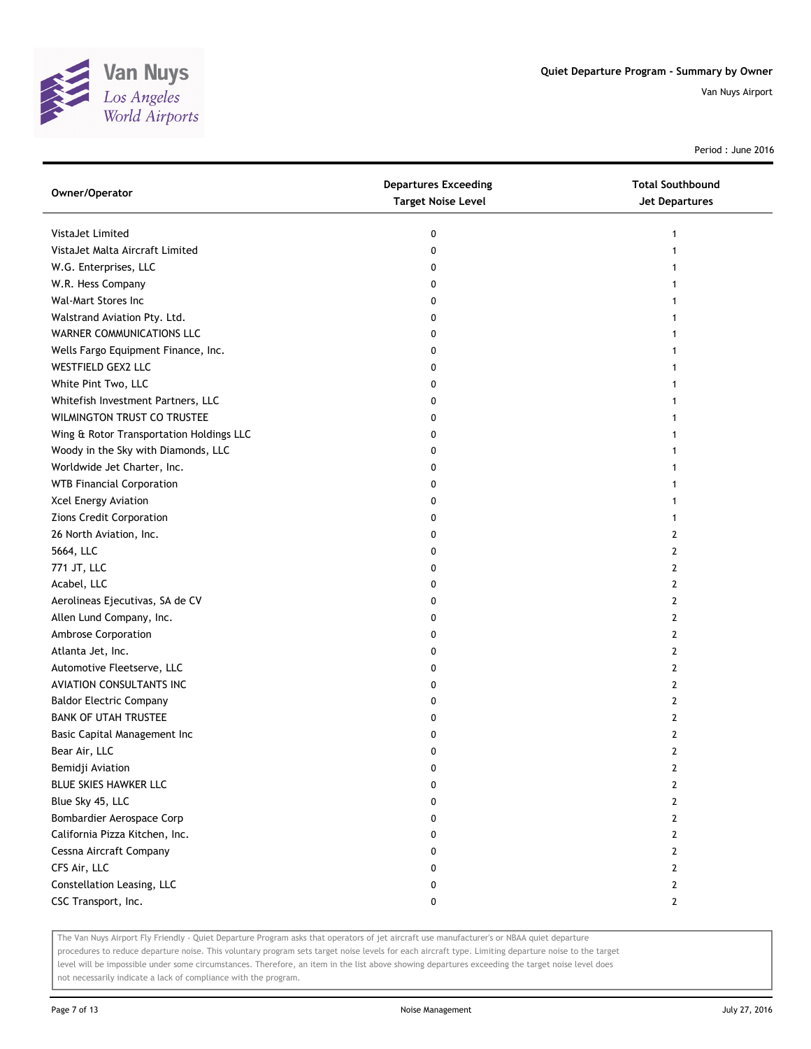

Period : June 2016

| Owner/Operator                           | <b>Departures Exceeding</b><br><b>Target Noise Level</b> | <b>Total Southbound</b><br><b>Jet Departures</b> |
|------------------------------------------|----------------------------------------------------------|--------------------------------------------------|
| VistaJet Limited                         | 0                                                        | 1                                                |
| VistaJet Malta Aircraft Limited          | 0                                                        |                                                  |
| W.G. Enterprises, LLC                    | 0                                                        |                                                  |
| W.R. Hess Company                        | 0                                                        |                                                  |
| Wal-Mart Stores Inc                      | 0                                                        | 1                                                |
| Walstrand Aviation Pty. Ltd.             | 0                                                        | 1                                                |
| WARNER COMMUNICATIONS LLC                | 0                                                        | 1                                                |
| Wells Fargo Equipment Finance, Inc.      | 0                                                        |                                                  |
| WESTFIELD GEX2 LLC                       | 0                                                        |                                                  |
| White Pint Two, LLC                      | 0                                                        |                                                  |
| Whitefish Investment Partners, LLC       | 0                                                        |                                                  |
| WILMINGTON TRUST CO TRUSTEE              | 0                                                        |                                                  |
| Wing & Rotor Transportation Holdings LLC | 0                                                        |                                                  |
| Woody in the Sky with Diamonds, LLC      | 0                                                        | 1                                                |
| Worldwide Jet Charter, Inc.              | 0                                                        | 1                                                |
| <b>WTB Financial Corporation</b>         | 0                                                        | 1                                                |
| Xcel Energy Aviation                     | 0                                                        | 1                                                |
| Zions Credit Corporation                 | 0                                                        | 1                                                |
| 26 North Aviation, Inc.                  | 0                                                        | 2                                                |
| 5664, LLC                                | 0                                                        | 2                                                |
| 771 JT, LLC                              | 0                                                        | $\overline{2}$                                   |
| Acabel, LLC                              | 0                                                        | 2                                                |
| Aerolineas Ejecutivas, SA de CV          | 0                                                        | 2                                                |
| Allen Lund Company, Inc.                 | 0                                                        | 2                                                |
| Ambrose Corporation                      | 0                                                        | 2                                                |
| Atlanta Jet, Inc.                        | 0                                                        | 2                                                |
| Automotive Fleetserve, LLC               | 0                                                        | $\overline{2}$                                   |
| AVIATION CONSULTANTS INC                 | 0                                                        | 2                                                |
| <b>Baldor Electric Company</b>           | 0                                                        | 2                                                |
| <b>BANK OF UTAH TRUSTEE</b>              | 0                                                        | 2                                                |
| Basic Capital Management Inc             | 0                                                        | $\overline{2}$                                   |
| Bear Air, LLC                            | 0                                                        | $\mathbf{2}$                                     |
| Bemidji Aviation                         | 0                                                        | 2                                                |
| BLUE SKIES HAWKER LLC                    | 0                                                        | $\overline{2}$                                   |
| Blue Sky 45, LLC                         | 0                                                        | $\overline{2}$                                   |
| Bombardier Aerospace Corp                | 0                                                        | $\mathbf{2}$                                     |
| California Pizza Kitchen, Inc.           | 0                                                        | $\overline{2}$                                   |
| Cessna Aircraft Company                  | 0                                                        | 2                                                |
| CFS Air, LLC                             | 0                                                        | 2                                                |
| Constellation Leasing, LLC               | 0                                                        | $\overline{2}$                                   |
| CSC Transport, Inc.                      | 0                                                        | $\mathbf{2}$                                     |

The Van Nuys Airport Fly Friendly - Quiet Departure Program asks that operators of jet aircraft use manufacturer's or NBAA quiet departure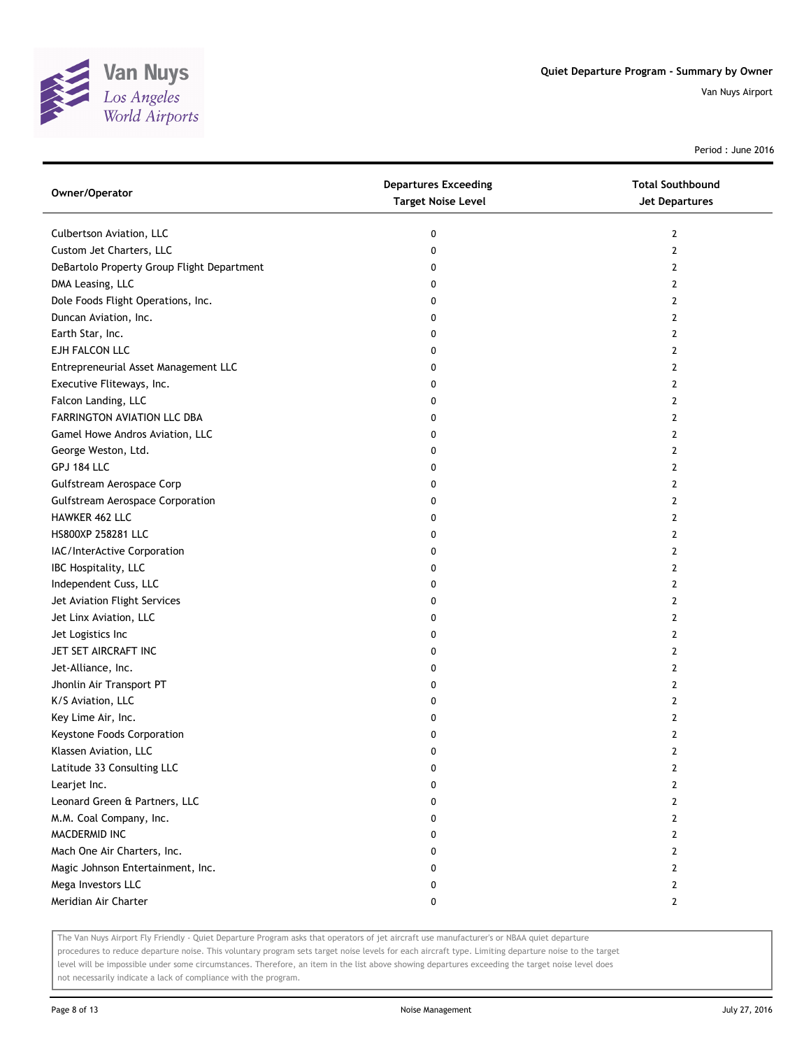

Period : June 2016

| Owner/Operator                             | <b>Departures Exceeding</b><br><b>Target Noise Level</b> | <b>Total Southbound</b><br>Jet Departures |
|--------------------------------------------|----------------------------------------------------------|-------------------------------------------|
| Culbertson Aviation, LLC                   | 0                                                        | 2                                         |
| Custom Jet Charters, LLC                   | 0                                                        | 2                                         |
| DeBartolo Property Group Flight Department | 0                                                        | 2                                         |
| DMA Leasing, LLC                           | 0                                                        | 2                                         |
| Dole Foods Flight Operations, Inc.         | 0                                                        | 2                                         |
| Duncan Aviation, Inc.                      | 0                                                        | 2                                         |
| Earth Star, Inc.                           | 0                                                        | 2                                         |
| EJH FALCON LLC                             | 0                                                        | 2                                         |
| Entrepreneurial Asset Management LLC       | 0                                                        | 2                                         |
| Executive Fliteways, Inc.                  | 0                                                        | 2                                         |
| Falcon Landing, LLC                        | 0                                                        | 2                                         |
| FARRINGTON AVIATION LLC DBA                | 0                                                        | 2                                         |
| Gamel Howe Andros Aviation, LLC            | 0                                                        | 2                                         |
| George Weston, Ltd.                        | 0                                                        | 2                                         |
| GPJ 184 LLC                                | 0                                                        | 2                                         |
| Gulfstream Aerospace Corp                  | 0                                                        | 2                                         |
| <b>Gulfstream Aerospace Corporation</b>    | 0                                                        | 2                                         |
| HAWKER 462 LLC                             | 0                                                        | 2                                         |
| HS800XP 258281 LLC                         | 0                                                        | 2                                         |
| IAC/InterActive Corporation                | 0                                                        | 2                                         |
| IBC Hospitality, LLC                       | 0                                                        | 2                                         |
| Independent Cuss, LLC                      | 0                                                        | 2                                         |
| Jet Aviation Flight Services               | 0                                                        | 2                                         |
| Jet Linx Aviation, LLC                     | 0                                                        | 2                                         |
| Jet Logistics Inc                          | 0                                                        | 2                                         |
| JET SET AIRCRAFT INC                       | 0                                                        | 2                                         |
| Jet-Alliance, Inc.                         | 0                                                        | 2                                         |
| Jhonlin Air Transport PT                   | 0                                                        | 2                                         |
| K/S Aviation, LLC                          | 0                                                        | 2                                         |
| Key Lime Air, Inc.                         | 0                                                        | 2                                         |
| Keystone Foods Corporation                 | 0                                                        | 2                                         |
| Klassen Aviation, LLC                      | 0                                                        | 2                                         |
| Latitude 33 Consulting LLC                 | 0                                                        | 2                                         |
| Learjet Inc.                               | 0                                                        | 2                                         |
| Leonard Green & Partners, LLC              | 0                                                        | 2                                         |
| M.M. Coal Company, Inc.                    | 0                                                        | 2                                         |
| MACDERMID INC                              | 0                                                        | 2                                         |
| Mach One Air Charters, Inc.                | 0                                                        | 2                                         |
| Magic Johnson Entertainment, Inc.          | 0                                                        | 2                                         |
| Mega Investors LLC                         | 0                                                        | 2                                         |
| Meridian Air Charter                       | 0                                                        | $\mathbf{2}$                              |

The Van Nuys Airport Fly Friendly - Quiet Departure Program asks that operators of jet aircraft use manufacturer's or NBAA quiet departure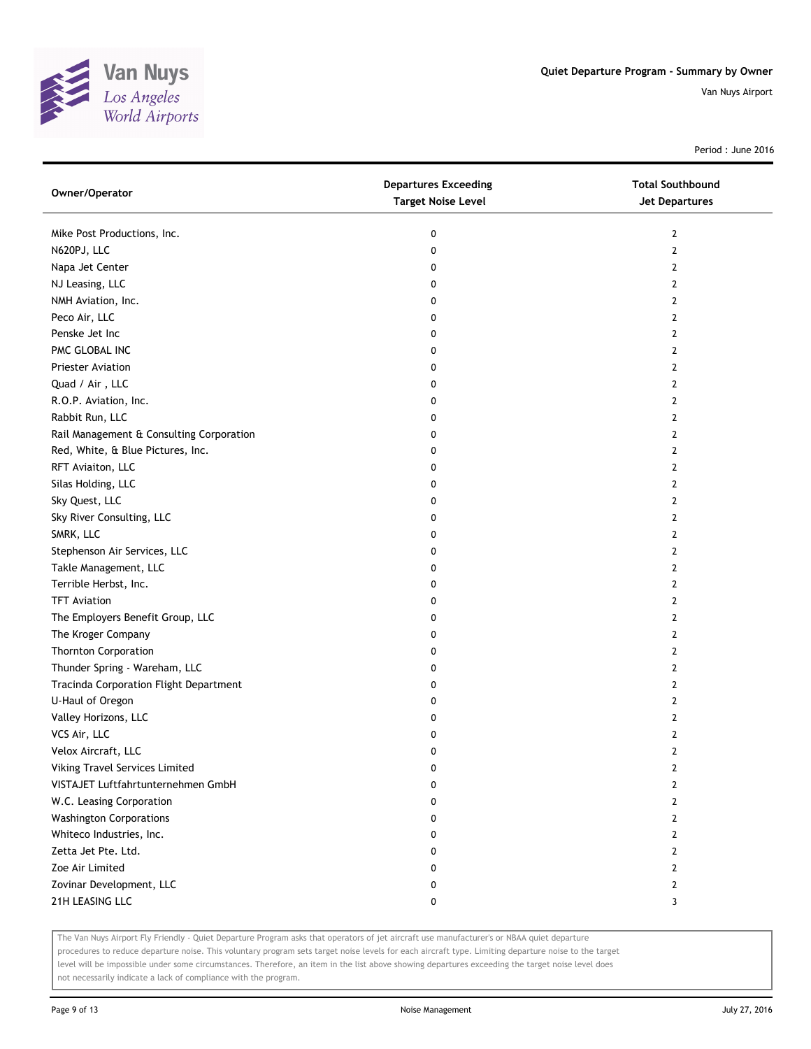

Period : June 2016

| Owner/Operator                           | <b>Departures Exceeding</b><br><b>Target Noise Level</b> | <b>Total Southbound</b><br><b>Jet Departures</b> |
|------------------------------------------|----------------------------------------------------------|--------------------------------------------------|
| Mike Post Productions, Inc.              | 0                                                        | 2                                                |
| N620PJ, LLC                              | 0                                                        | $\mathbf{2}$                                     |
| Napa Jet Center                          | 0                                                        | $\mathbf{2}$                                     |
| NJ Leasing, LLC                          | 0                                                        | $\mathbf{2}$                                     |
| NMH Aviation, Inc.                       | 0                                                        | 2                                                |
| Peco Air, LLC                            | 0                                                        | 2                                                |
| Penske Jet Inc                           | 0                                                        | $\mathbf{2}$                                     |
| PMC GLOBAL INC                           | 0                                                        | $\mathbf{2}$                                     |
| Priester Aviation                        | 0                                                        | $\overline{2}$                                   |
| Quad / Air, LLC                          | 0                                                        | $\overline{2}$                                   |
| R.O.P. Aviation, Inc.                    | 0                                                        | 2                                                |
| Rabbit Run, LLC                          | 0                                                        | $\mathbf{2}$                                     |
| Rail Management & Consulting Corporation | 0                                                        | 2                                                |
| Red, White, & Blue Pictures, Inc.        | 0                                                        | $\mathbf{2}$                                     |
| RFT Aviaiton, LLC                        | 0                                                        | 2                                                |
| Silas Holding, LLC                       | 0                                                        | 2                                                |
| Sky Quest, LLC                           | 0                                                        | $\mathbf{2}$                                     |
| Sky River Consulting, LLC                | 0                                                        | 2                                                |
| SMRK, LLC                                | 0                                                        | 2                                                |
| Stephenson Air Services, LLC             | 0                                                        | 2                                                |
| Takle Management, LLC                    | 0                                                        | 2                                                |
| Terrible Herbst, Inc.                    | 0                                                        | $\mathbf{2}$                                     |
| <b>TFT Aviation</b>                      | 0                                                        | 2                                                |
| The Employers Benefit Group, LLC         | 0                                                        | $\overline{2}$                                   |
| The Kroger Company                       | 0                                                        | 2                                                |
| <b>Thornton Corporation</b>              | 0                                                        | 2                                                |
| Thunder Spring - Wareham, LLC            | 0                                                        | $\mathbf{2}$                                     |
| Tracinda Corporation Flight Department   | 0                                                        | $\mathbf{2}$                                     |
| U-Haul of Oregon                         | 0                                                        | $\overline{2}$                                   |
| Valley Horizons, LLC                     | 0                                                        | 2                                                |
| VCS Air, LLC                             | 0                                                        | 2                                                |
| Velox Aircraft, LLC                      | 0                                                        | $\mathbf{2}$                                     |
| Viking Travel Services Limited           | 0                                                        | 2                                                |
| VISTAJET Luftfahrtunternehmen GmbH       | 0                                                        | $\overline{2}$                                   |
| W.C. Leasing Corporation                 | 0                                                        | $\overline{2}$                                   |
| <b>Washington Corporations</b>           | 0                                                        | 2                                                |
| Whiteco Industries, Inc.                 | 0                                                        | $\mathbf{2}$                                     |
| Zetta Jet Pte. Ltd.                      | 0                                                        | $\mathbf{2}$                                     |
| Zoe Air Limited                          | 0                                                        | $\overline{2}$                                   |
| Zovinar Development, LLC                 | 0                                                        | 2                                                |
| 21H LEASING LLC                          | 0                                                        | 3                                                |

The Van Nuys Airport Fly Friendly - Quiet Departure Program asks that operators of jet aircraft use manufacturer's or NBAA quiet departure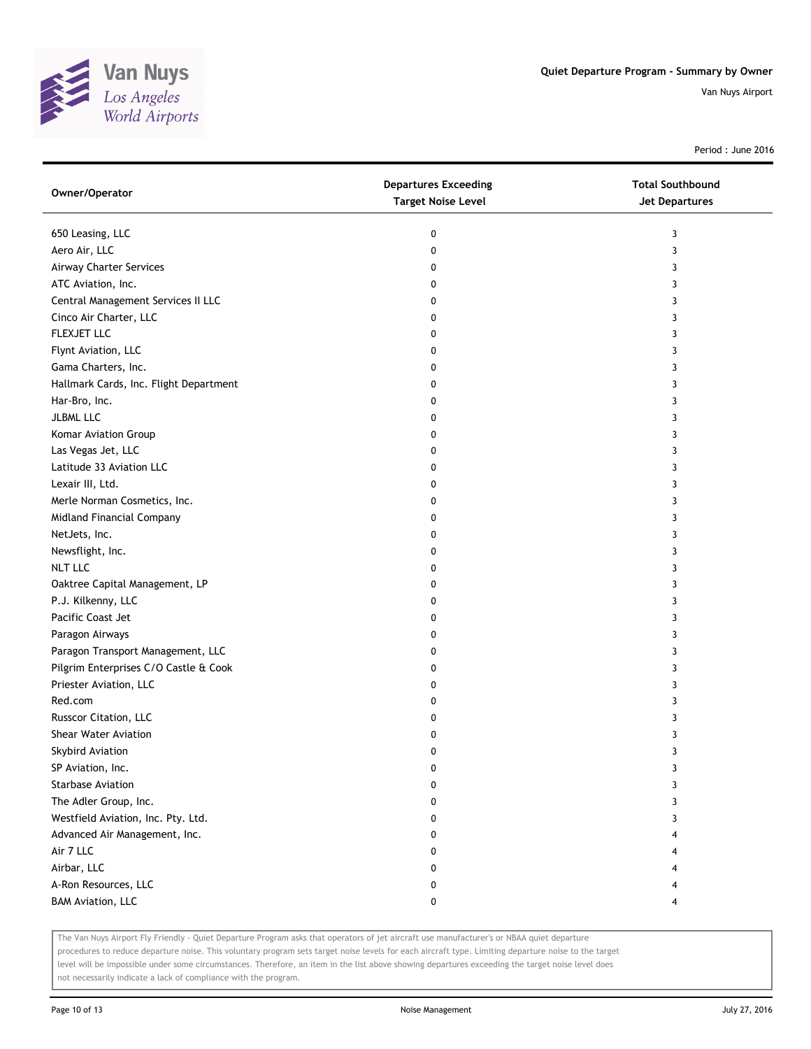

Period : June 2016

| Owner/Operator                         | <b>Departures Exceeding</b><br><b>Target Noise Level</b> | <b>Total Southbound</b><br><b>Jet Departures</b> |
|----------------------------------------|----------------------------------------------------------|--------------------------------------------------|
| 650 Leasing, LLC                       | 0                                                        | 3                                                |
| Aero Air, LLC                          | 0                                                        | 3                                                |
| Airway Charter Services                | 0                                                        | 3                                                |
| ATC Aviation, Inc.                     | 0                                                        | 3                                                |
| Central Management Services II LLC     | 0                                                        | 3                                                |
| Cinco Air Charter, LLC                 | 0                                                        | 3                                                |
| FLEXJET LLC                            | 0                                                        | 3                                                |
| Flynt Aviation, LLC                    | 0                                                        | 3                                                |
| Gama Charters, Inc.                    | 0                                                        | 3                                                |
| Hallmark Cards, Inc. Flight Department | 0                                                        | 3                                                |
| Har-Bro, Inc.                          | 0                                                        | 3                                                |
| JLBML LLC                              | 0                                                        | 3                                                |
| Komar Aviation Group                   | 0                                                        | 3                                                |
| Las Vegas Jet, LLC                     | 0                                                        | 3                                                |
| Latitude 33 Aviation LLC               | 0                                                        | 3                                                |
| Lexair III, Ltd.                       | 0                                                        | 3                                                |
| Merle Norman Cosmetics, Inc.           | 0                                                        | 3                                                |
| Midland Financial Company              | 0                                                        | 3                                                |
| NetJets, Inc.                          | 0                                                        | 3                                                |
| Newsflight, Inc.                       | 0                                                        | 3                                                |
| <b>NLT LLC</b>                         | 0                                                        | 3                                                |
| Oaktree Capital Management, LP         | 0                                                        | 3                                                |
| P.J. Kilkenny, LLC                     | 0                                                        | 3                                                |
| Pacific Coast Jet                      | 0                                                        | 3                                                |
| Paragon Airways                        | 0                                                        | 3                                                |
| Paragon Transport Management, LLC      | 0                                                        | 3                                                |
| Pilgrim Enterprises C/O Castle & Cook  | 0                                                        | 3                                                |
| Priester Aviation, LLC                 | 0                                                        | 3                                                |
| Red.com                                | 0                                                        | 3                                                |
| Russcor Citation, LLC                  | 0                                                        | 3                                                |
| <b>Shear Water Aviation</b>            | 0                                                        | 3                                                |
| Skybird Aviation                       | 0                                                        | 3                                                |
| SP Aviation, Inc.                      | 0                                                        | 3                                                |
| Starbase Aviation                      | 0                                                        | 3                                                |
| The Adler Group, Inc.                  | 0                                                        | 3                                                |
| Westfield Aviation, Inc. Pty. Ltd.     | 0                                                        | 3                                                |
| Advanced Air Management, Inc.          | 0                                                        |                                                  |
| Air 7 LLC                              | 0                                                        |                                                  |
| Airbar, LLC                            | 0                                                        |                                                  |
| A-Ron Resources, LLC                   | 0                                                        | 4                                                |
| <b>BAM Aviation, LLC</b>               | 0                                                        | 4                                                |

The Van Nuys Airport Fly Friendly - Quiet Departure Program asks that operators of jet aircraft use manufacturer's or NBAA quiet departure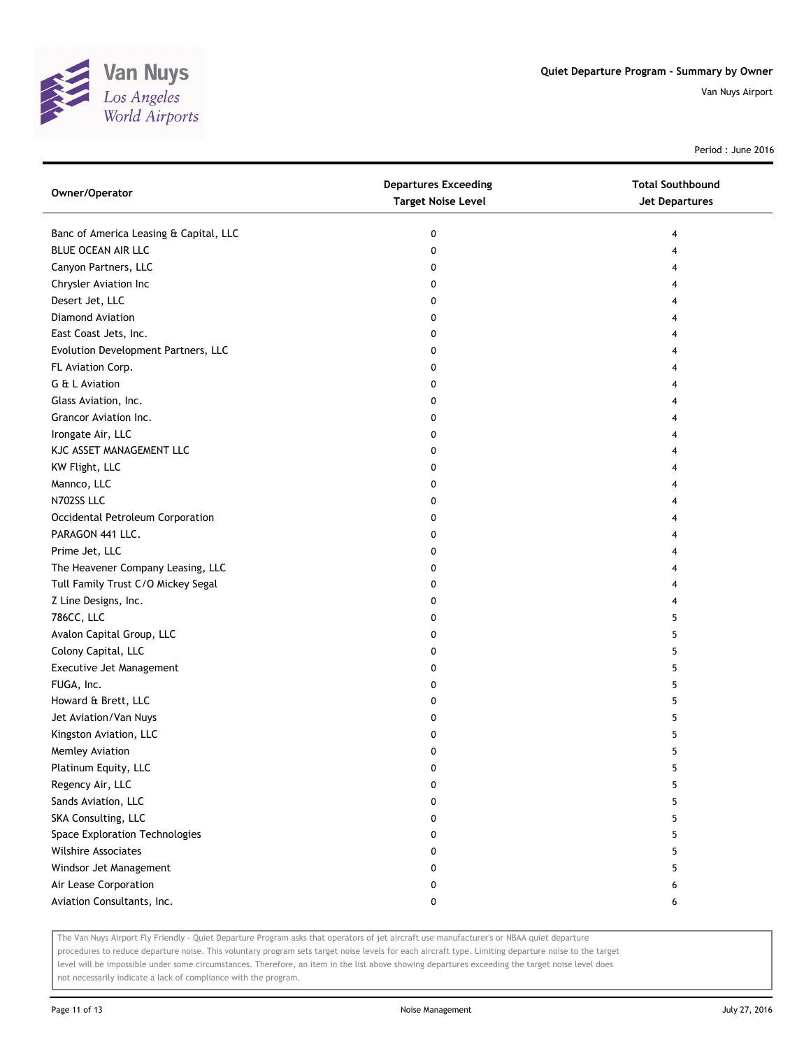

Period : June 2016

| Owner/Operator                         | <b>Departures Exceeding</b><br><b>Target Noise Level</b> | <b>Total Southbound</b><br><b>Jet Departures</b> |
|----------------------------------------|----------------------------------------------------------|--------------------------------------------------|
| Banc of America Leasing & Capital, LLC | 0                                                        | 4                                                |
| BLUE OCEAN AIR LLC                     | 0                                                        | 4                                                |
| Canyon Partners, LLC                   | 0                                                        | 4                                                |
| Chrysler Aviation Inc                  | 0                                                        | 4                                                |
| Desert Jet, LLC                        | 0                                                        | 4                                                |
| Diamond Aviation                       | 0                                                        | 4                                                |
| East Coast Jets, Inc.                  | 0                                                        | 4                                                |
| Evolution Development Partners, LLC    | 0                                                        | 4                                                |
| FL Aviation Corp.                      | 0                                                        | 4                                                |
| G & L Aviation                         | 0                                                        | 4                                                |
| Glass Aviation, Inc.                   | 0                                                        |                                                  |
| Grancor Aviation Inc.                  | 0                                                        |                                                  |
| Irongate Air, LLC                      | 0                                                        | 4                                                |
| KJC ASSET MANAGEMENT LLC               | 0                                                        | 4                                                |
| KW Flight, LLC                         | 0                                                        | 4                                                |
| Mannco, LLC                            | 0                                                        | 4                                                |
| N702SS LLC                             | 0                                                        | 4                                                |
| Occidental Petroleum Corporation       | 0                                                        | 4                                                |
| PARAGON 441 LLC.                       | 0                                                        | 4                                                |
| Prime Jet, LLC                         | 0                                                        | 4                                                |
| The Heavener Company Leasing, LLC      | 0                                                        | 4                                                |
| Tull Family Trust C/O Mickey Segal     | 0                                                        | 4                                                |
| Z Line Designs, Inc.                   | 0                                                        | 4                                                |
| 786CC, LLC                             | 0                                                        | 5                                                |
| Avalon Capital Group, LLC              | 0                                                        | 5                                                |
| Colony Capital, LLC                    | 0                                                        | 5                                                |
| Executive Jet Management               | 0                                                        | 5                                                |
| FUGA, Inc.                             | 0                                                        | 5                                                |
| Howard & Brett, LLC                    | 0                                                        | 5                                                |
| Jet Aviation/Van Nuys                  | 0                                                        | 5                                                |
| Kingston Aviation, LLC                 | 0                                                        | 5                                                |
| Memley Aviation                        | 0                                                        | 5                                                |
| Platinum Equity, LLC                   | 0                                                        | 5                                                |
| Regency Air, LLC                       | 0                                                        | 5                                                |
| Sands Aviation, LLC                    | 0                                                        | 5                                                |
| SKA Consulting, LLC                    | 0                                                        | 5                                                |
| Space Exploration Technologies         | 0                                                        | 5                                                |
| <b>Wilshire Associates</b>             | 0                                                        | 5                                                |
| Windsor Jet Management                 | 0                                                        | 5                                                |
| Air Lease Corporation                  | 0                                                        | 6                                                |
| Aviation Consultants, Inc.             | 0                                                        | 6                                                |

The Van Nuys Airport Fly Friendly - Quiet Departure Program asks that operators of jet aircraft use manufacturer's or NBAA quiet departure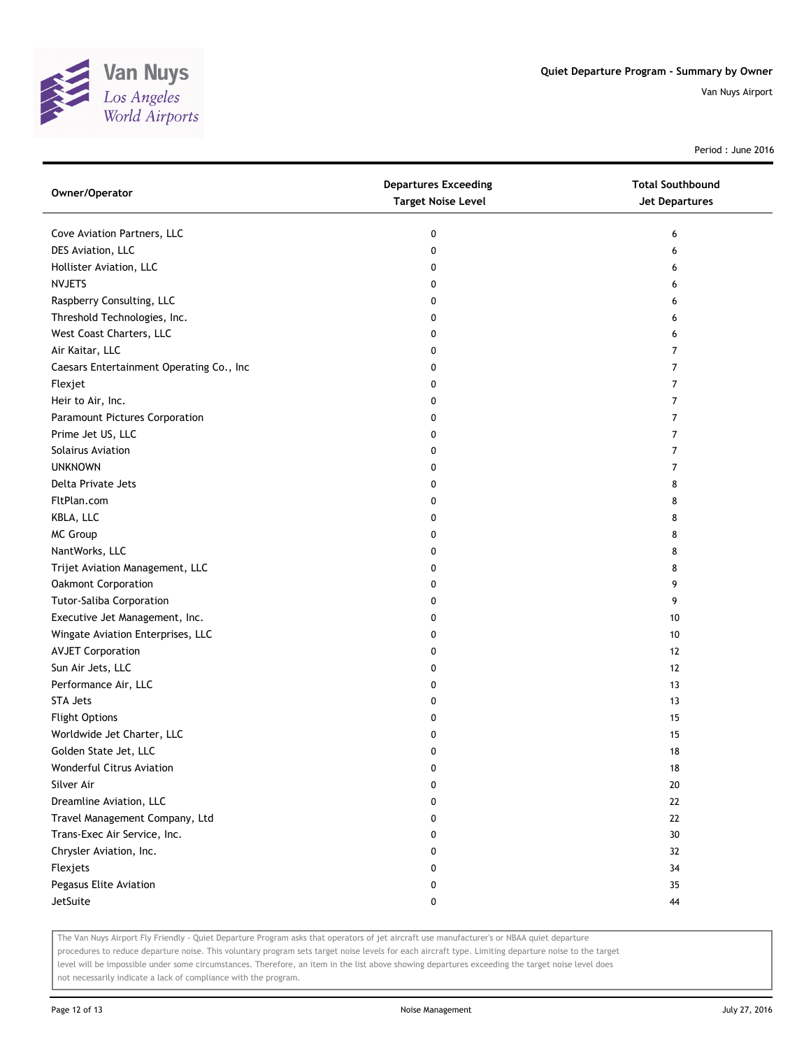

Period : June 2016

| Owner/Operator                           | <b>Departures Exceeding</b><br><b>Target Noise Level</b> | <b>Total Southbound</b><br>Jet Departures |
|------------------------------------------|----------------------------------------------------------|-------------------------------------------|
| Cove Aviation Partners, LLC              | 0                                                        | 6                                         |
| DES Aviation, LLC                        | 0                                                        | 6                                         |
| Hollister Aviation, LLC                  | 0                                                        | 6                                         |
| <b>NVJETS</b>                            | 0                                                        | 6                                         |
| Raspberry Consulting, LLC                | 0                                                        | 6                                         |
| Threshold Technologies, Inc.             | 0                                                        | 6                                         |
| West Coast Charters, LLC                 | 0                                                        | 6                                         |
| Air Kaitar, LLC                          | 0                                                        | 7                                         |
| Caesars Entertainment Operating Co., Inc | 0                                                        | 7                                         |
| Flexjet                                  | 0                                                        | 7                                         |
| Heir to Air, Inc.                        | 0                                                        | 7                                         |
| Paramount Pictures Corporation           | 0                                                        | $\overline{7}$                            |
| Prime Jet US, LLC                        | 0                                                        | 7                                         |
| Solairus Aviation                        | 0                                                        | 7                                         |
| <b>UNKNOWN</b>                           | 0                                                        | 7                                         |
| Delta Private Jets                       | 0                                                        | 8                                         |
| FltPlan.com                              | 0                                                        | 8                                         |
| KBLA, LLC                                | 0                                                        | 8                                         |
| <b>MC Group</b>                          | 0                                                        | 8                                         |
| NantWorks, LLC                           | 0                                                        | 8                                         |
| Trijet Aviation Management, LLC          | 0                                                        | 8                                         |
| Oakmont Corporation                      | 0                                                        | 9                                         |
| <b>Tutor-Saliba Corporation</b>          | 0                                                        | 9                                         |
| Executive Jet Management, Inc.           | 0                                                        | 10                                        |
| Wingate Aviation Enterprises, LLC        | 0                                                        | 10                                        |
| <b>AVJET Corporation</b>                 | 0                                                        | 12                                        |
| Sun Air Jets, LLC                        | 0                                                        | 12                                        |
| Performance Air, LLC                     | 0                                                        | 13                                        |
| <b>STA Jets</b>                          | 0                                                        | 13                                        |
| <b>Flight Options</b>                    | 0                                                        | 15                                        |
| Worldwide Jet Charter, LLC               | 0                                                        | 15                                        |
| Golden State Jet, LLC                    | 0                                                        | 18                                        |
| Wonderful Citrus Aviation                | 0                                                        | 18                                        |
| Silver Air                               | 0                                                        | 20                                        |
| Dreamline Aviation, LLC                  | 0                                                        | $22\,$                                    |
| Travel Management Company, Ltd           | 0                                                        | 22                                        |
| Trans-Exec Air Service, Inc.             | 0                                                        | 30                                        |
| Chrysler Aviation, Inc.                  | 0                                                        | 32                                        |
| Flexjets                                 | 0                                                        | 34                                        |
| Pegasus Elite Aviation                   | 0                                                        | 35                                        |
| JetSuite                                 | 0                                                        | 44                                        |

The Van Nuys Airport Fly Friendly - Quiet Departure Program asks that operators of jet aircraft use manufacturer's or NBAA quiet departure